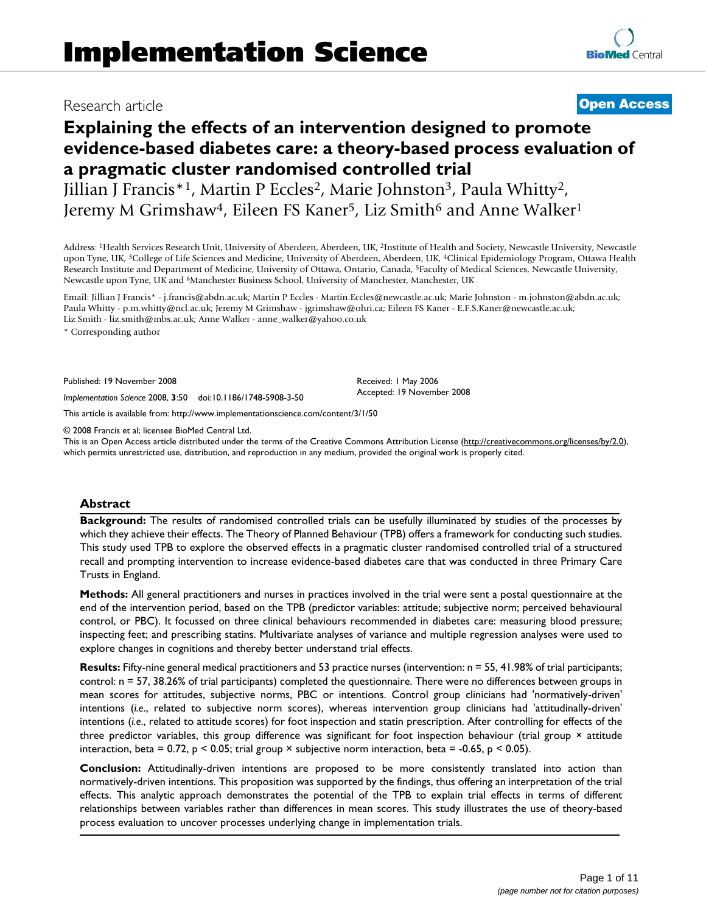## Research article **[Open Access](http://www.biomedcentral.com/info/about/charter/)**

# **Explaining the effects of an intervention designed to promote evidence-based diabetes care: a theory-based process evaluation of a pragmatic cluster randomised controlled trial**

Jillian J Francis<sup>\*1</sup>, Martin P Eccles<sup>2</sup>, Marie Johnston<sup>3</sup>, Paula Whitty<sup>2</sup>, Jeremy M Grimshaw<sup>4</sup>, Eileen FS Kaner<sup>5</sup>, Liz Smith<sup>6</sup> and Anne Walker<sup>1</sup>

Address: 1Health Services Research Unit, University of Aberdeen, Aberdeen, UK, 2Institute of Health and Society, Newcastle University, Newcastle upon Tyne, UK, 3College of Life Sciences and Medicine, University of Aberdeen, Aberdeen, UK, 4Clinical Epidemiology Program, Ottawa Health Research Institute and Department of Medicine, University of Ottawa, Ontario, Canada, 5Faculty of Medical Sciences, Newcastle University, Newcastle upon Tyne, UK and 6Manchester Business School, University of Manchester, Manchester, UK

Email: Jillian J Francis\* - j.francis@abdn.ac.uk; Martin P Eccles - Martin.Eccles@newcastle.ac.uk; Marie Johnston - m.johnston@abdn.ac.uk; Paula Whitty - p.m.whitty@ncl.ac.uk; Jeremy M Grimshaw - jgrimshaw@ohri.ca; Eileen FS Kaner - E.F.S.Kaner@newcastle.ac.uk; Liz Smith - liz.smith@mbs.ac.uk; Anne Walker - anne\_walker@yahoo.co.uk

\* Corresponding author

Published: 19 November 2008

*Implementation Science* 2008, **3**:50 doi:10.1186/1748-5908-3-50

[This article is available from: http://www.implementationscience.com/content/3/1/50](http://www.implementationscience.com/content/3/1/50)

© 2008 Francis et al; licensee BioMed Central Ltd.

This is an Open Access article distributed under the terms of the Creative Commons Attribution License [\(http://creativecommons.org/licenses/by/2.0\)](http://creativecommons.org/licenses/by/2.0), which permits unrestricted use, distribution, and reproduction in any medium, provided the original work is properly cited.

Received: 1 May 2006 Accepted: 19 November 2008

#### **Abstract**

**Background:** The results of randomised controlled trials can be usefully illuminated by studies of the processes by which they achieve their effects. The Theory of Planned Behaviour (TPB) offers a framework for conducting such studies. This study used TPB to explore the observed effects in a pragmatic cluster randomised controlled trial of a structured recall and prompting intervention to increase evidence-based diabetes care that was conducted in three Primary Care Trusts in England.

**Methods:** All general practitioners and nurses in practices involved in the trial were sent a postal questionnaire at the end of the intervention period, based on the TPB (predictor variables: attitude; subjective norm; perceived behavioural control, or PBC). It focussed on three clinical behaviours recommended in diabetes care: measuring blood pressure; inspecting feet; and prescribing statins. Multivariate analyses of variance and multiple regression analyses were used to explore changes in cognitions and thereby better understand trial effects.

**Results:** Fifty-nine general medical practitioners and 53 practice nurses (intervention: n = 55, 41.98% of trial participants; control: n = 57, 38.26% of trial participants) completed the questionnaire. There were no differences between groups in mean scores for attitudes, subjective norms, PBC or intentions. Control group clinicians had 'normatively-driven' intentions (*i.e*., related to subjective norm scores), whereas intervention group clinicians had 'attitudinally-driven' intentions (*i.e*., related to attitude scores) for foot inspection and statin prescription. After controlling for effects of the three predictor variables, this group difference was significant for foot inspection behaviour (trial group  $\times$  attitude interaction, beta = 0.72,  $p < 0.05$ ; trial group × subjective norm interaction, beta = -0.65,  $p < 0.05$ ).

**Conclusion:** Attitudinally-driven intentions are proposed to be more consistently translated into action than normatively-driven intentions. This proposition was supported by the findings, thus offering an interpretation of the trial effects. This analytic approach demonstrates the potential of the TPB to explain trial effects in terms of different relationships between variables rather than differences in mean scores. This study illustrates the use of theory-based process evaluation to uncover processes underlying change in implementation trials.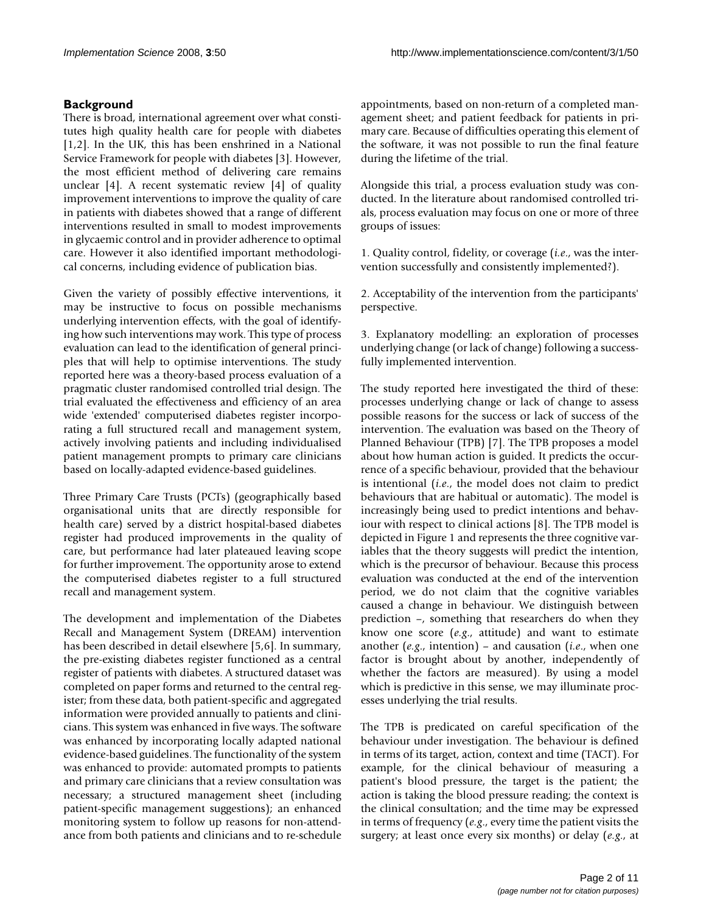## **Background**

There is broad, international agreement over what constitutes high quality health care for people with diabetes [1,2]. In the UK, this has been enshrined in a National Service Framework for people with diabetes [3]. However, the most efficient method of delivering care remains unclear [4]. A recent systematic review [4] of quality improvement interventions to improve the quality of care in patients with diabetes showed that a range of different interventions resulted in small to modest improvements in glycaemic control and in provider adherence to optimal care. However it also identified important methodological concerns, including evidence of publication bias.

Given the variety of possibly effective interventions, it may be instructive to focus on possible mechanisms underlying intervention effects, with the goal of identifying how such interventions may work. This type of process evaluation can lead to the identification of general principles that will help to optimise interventions. The study reported here was a theory-based process evaluation of a pragmatic cluster randomised controlled trial design. The trial evaluated the effectiveness and efficiency of an area wide 'extended' computerised diabetes register incorporating a full structured recall and management system, actively involving patients and including individualised patient management prompts to primary care clinicians based on locally-adapted evidence-based guidelines.

Three Primary Care Trusts (PCTs) (geographically based organisational units that are directly responsible for health care) served by a district hospital-based diabetes register had produced improvements in the quality of care, but performance had later plateaued leaving scope for further improvement. The opportunity arose to extend the computerised diabetes register to a full structured recall and management system.

The development and implementation of the Diabetes Recall and Management System (DREAM) intervention has been described in detail elsewhere [5,6]. In summary, the pre-existing diabetes register functioned as a central register of patients with diabetes. A structured dataset was completed on paper forms and returned to the central register; from these data, both patient-specific and aggregated information were provided annually to patients and clinicians. This system was enhanced in five ways. The software was enhanced by incorporating locally adapted national evidence-based guidelines. The functionality of the system was enhanced to provide: automated prompts to patients and primary care clinicians that a review consultation was necessary; a structured management sheet (including patient-specific management suggestions); an enhanced monitoring system to follow up reasons for non-attendance from both patients and clinicians and to re-schedule

appointments, based on non-return of a completed management sheet; and patient feedback for patients in primary care. Because of difficulties operating this element of the software, it was not possible to run the final feature during the lifetime of the trial.

Alongside this trial, a process evaluation study was conducted. In the literature about randomised controlled trials, process evaluation may focus on one or more of three groups of issues:

1. Quality control, fidelity, or coverage (*i.e*., was the intervention successfully and consistently implemented?).

2. Acceptability of the intervention from the participants' perspective.

3. Explanatory modelling: an exploration of processes underlying change (or lack of change) following a successfully implemented intervention.

The study reported here investigated the third of these: processes underlying change or lack of change to assess possible reasons for the success or lack of success of the intervention. The evaluation was based on the Theory of Planned Behaviour (TPB) [7]. The TPB proposes a model about how human action is guided. It predicts the occurrence of a specific behaviour, provided that the behaviour is intentional (*i.e*., the model does not claim to predict behaviours that are habitual or automatic). The model is increasingly being used to predict intentions and behaviour with respect to clinical actions [8]. The TPB model is depicted in Figure 1 and represents the three cognitive variables that the theory suggests will predict the intention, which is the precursor of behaviour. Because this process evaluation was conducted at the end of the intervention period, we do not claim that the cognitive variables caused a change in behaviour. We distinguish between prediction –, something that researchers do when they know one score (*e.g*., attitude) and want to estimate another (*e.g*., intention) – and causation (*i.e*., when one factor is brought about by another, independently of whether the factors are measured). By using a model which is predictive in this sense, we may illuminate processes underlying the trial results.

The TPB is predicated on careful specification of the behaviour under investigation. The behaviour is defined in terms of its target, action, context and time (TACT). For example, for the clinical behaviour of measuring a patient's blood pressure, the target is the patient; the action is taking the blood pressure reading; the context is the clinical consultation; and the time may be expressed in terms of frequency (*e.g*., every time the patient visits the surgery; at least once every six months) or delay (*e.g*., at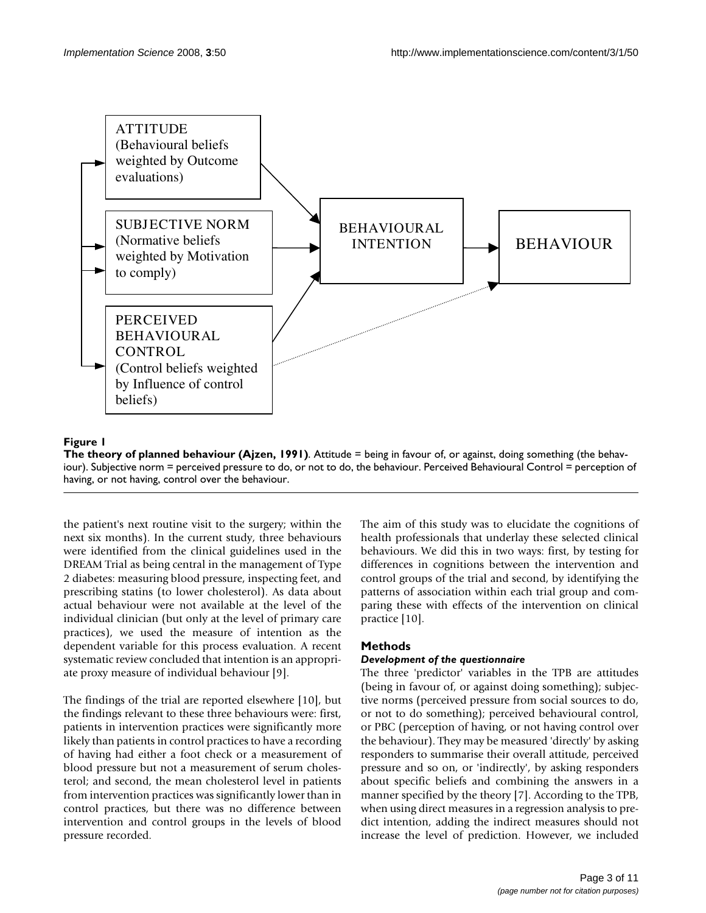

### **Figure 1**

**The theory of planned behaviour (Ajzen, 1991)**. Attitude = being in favour of, or against, doing something (the behaviour). Subjective norm = perceived pressure to do, or not to do, the behaviour. Perceived Behavioural Control = perception of having, or not having, control over the behaviour.

the patient's next routine visit to the surgery; within the next six months). In the current study, three behaviours were identified from the clinical guidelines used in the DREAM Trial as being central in the management of Type 2 diabetes: measuring blood pressure, inspecting feet, and prescribing statins (to lower cholesterol). As data about actual behaviour were not available at the level of the individual clinician (but only at the level of primary care practices), we used the measure of intention as the dependent variable for this process evaluation. A recent systematic review concluded that intention is an appropriate proxy measure of individual behaviour [9].

The findings of the trial are reported elsewhere [10], but the findings relevant to these three behaviours were: first, patients in intervention practices were significantly more likely than patients in control practices to have a recording of having had either a foot check or a measurement of blood pressure but not a measurement of serum cholesterol; and second, the mean cholesterol level in patients from intervention practices was significantly lower than in control practices, but there was no difference between intervention and control groups in the levels of blood pressure recorded.

The aim of this study was to elucidate the cognitions of health professionals that underlay these selected clinical behaviours. We did this in two ways: first, by testing for differences in cognitions between the intervention and control groups of the trial and second, by identifying the patterns of association within each trial group and comparing these with effects of the intervention on clinical practice [10].

## **Methods**

### *Development of the questionnaire*

The three 'predictor' variables in the TPB are attitudes (being in favour of, or against doing something); subjective norms (perceived pressure from social sources to do, or not to do something); perceived behavioural control, or PBC (perception of having, or not having control over the behaviour). They may be measured 'directly' by asking responders to summarise their overall attitude, perceived pressure and so on, or 'indirectly', by asking responders about specific beliefs and combining the answers in a manner specified by the theory [7]. According to the TPB, when using direct measures in a regression analysis to predict intention, adding the indirect measures should not increase the level of prediction. However, we included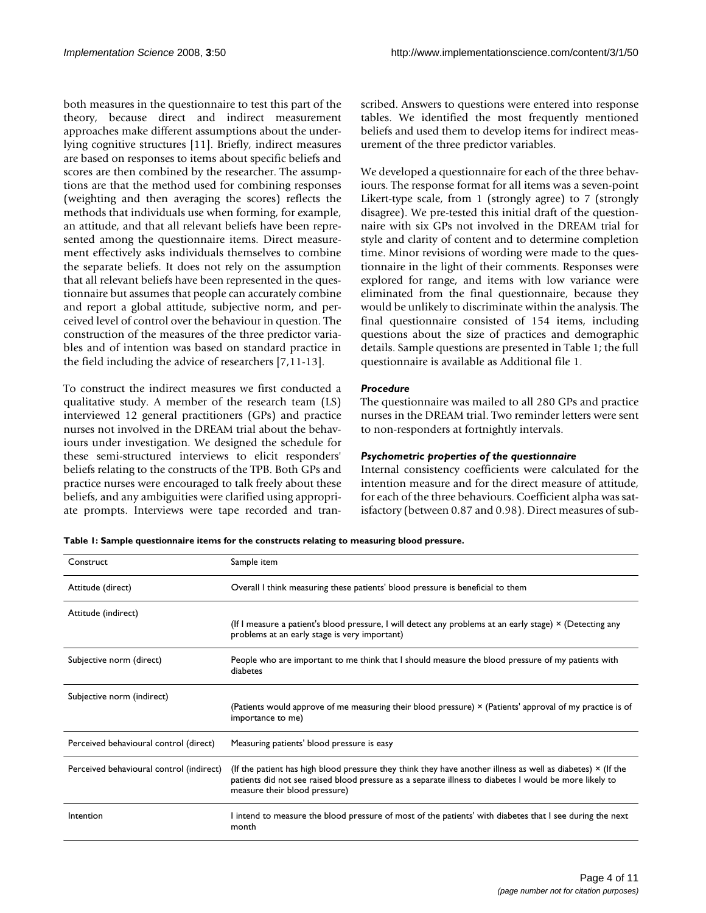both measures in the questionnaire to test this part of the theory, because direct and indirect measurement approaches make different assumptions about the underlying cognitive structures [11]. Briefly, indirect measures are based on responses to items about specific beliefs and scores are then combined by the researcher. The assumptions are that the method used for combining responses (weighting and then averaging the scores) reflects the methods that individuals use when forming, for example, an attitude, and that all relevant beliefs have been represented among the questionnaire items. Direct measurement effectively asks individuals themselves to combine the separate beliefs. It does not rely on the assumption that all relevant beliefs have been represented in the questionnaire but assumes that people can accurately combine and report a global attitude, subjective norm, and perceived level of control over the behaviour in question. The construction of the measures of the three predictor variables and of intention was based on standard practice in the field including the advice of researchers [7,11-13].

To construct the indirect measures we first conducted a qualitative study. A member of the research team (LS) interviewed 12 general practitioners (GPs) and practice nurses not involved in the DREAM trial about the behaviours under investigation. We designed the schedule for these semi-structured interviews to elicit responders' beliefs relating to the constructs of the TPB. Both GPs and practice nurses were encouraged to talk freely about these beliefs, and any ambiguities were clarified using appropriate prompts. Interviews were tape recorded and transcribed. Answers to questions were entered into response tables. We identified the most frequently mentioned beliefs and used them to develop items for indirect measurement of the three predictor variables.

We developed a questionnaire for each of the three behaviours. The response format for all items was a seven-point Likert-type scale, from 1 (strongly agree) to 7 (strongly disagree). We pre-tested this initial draft of the questionnaire with six GPs not involved in the DREAM trial for style and clarity of content and to determine completion time. Minor revisions of wording were made to the questionnaire in the light of their comments. Responses were explored for range, and items with low variance were eliminated from the final questionnaire, because they would be unlikely to discriminate within the analysis. The final questionnaire consisted of 154 items, including questions about the size of practices and demographic details. Sample questions are presented in Table 1; the full questionnaire is available as Additional file 1.

## *Procedure*

The questionnaire was mailed to all 280 GPs and practice nurses in the DREAM trial. Two reminder letters were sent to non-responders at fortnightly intervals.

## *Psychometric properties of the questionnaire*

Internal consistency coefficients were calculated for the intention measure and for the direct measure of attitude, for each of the three behaviours. Coefficient alpha was satisfactory (between 0.87 and 0.98). Direct measures of sub-

**Table 1: Sample questionnaire items for the constructs relating to measuring blood pressure.**

| Construct                                | Sample item                                                                                                                                                                                                                                                   |
|------------------------------------------|---------------------------------------------------------------------------------------------------------------------------------------------------------------------------------------------------------------------------------------------------------------|
| Attitude (direct)                        | Overall I think measuring these patients' blood pressure is beneficial to them                                                                                                                                                                                |
| Attitude (indirect)                      | (If I measure a patient's blood pressure, I will detect any problems at an early stage) × (Detecting any<br>problems at an early stage is very important)                                                                                                     |
| Subjective norm (direct)                 | People who are important to me think that I should measure the blood pressure of my patients with<br>diabetes                                                                                                                                                 |
| Subjective norm (indirect)               | (Patients would approve of me measuring their blood pressure) × (Patients' approval of my practice is of<br>importance to me)                                                                                                                                 |
| Perceived behavioural control (direct)   | Measuring patients' blood pressure is easy                                                                                                                                                                                                                    |
| Perceived behavioural control (indirect) | (If the patient has high blood pressure they think they have another illness as well as diabetes) $\times$ (If the<br>patients did not see raised blood pressure as a separate illness to diabetes I would be more likely to<br>measure their blood pressure) |
| Intention                                | I intend to measure the blood pressure of most of the patients' with diabetes that I see during the next<br>month                                                                                                                                             |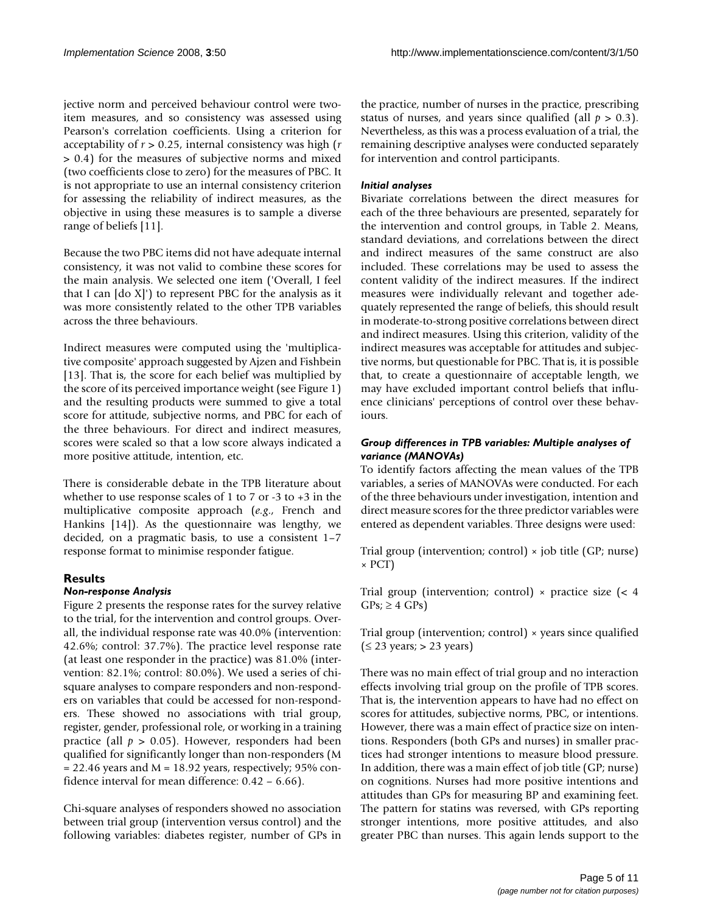jective norm and perceived behaviour control were twoitem measures, and so consistency was assessed using Pearson's correlation coefficients. Using a criterion for acceptability of *r* > 0.25, internal consistency was high (*r* > 0.4) for the measures of subjective norms and mixed (two coefficients close to zero) for the measures of PBC. It is not appropriate to use an internal consistency criterion for assessing the reliability of indirect measures, as the objective in using these measures is to sample a diverse range of beliefs [11].

Because the two PBC items did not have adequate internal consistency, it was not valid to combine these scores for the main analysis. We selected one item ('Overall, I feel that I can  $[do X]'$  to represent PBC for the analysis as it was more consistently related to the other TPB variables across the three behaviours.

Indirect measures were computed using the 'multiplicative composite' approach suggested by Ajzen and Fishbein [13]. That is, the score for each belief was multiplied by the score of its perceived importance weight (see Figure 1) and the resulting products were summed to give a total score for attitude, subjective norms, and PBC for each of the three behaviours. For direct and indirect measures, scores were scaled so that a low score always indicated a more positive attitude, intention, etc.

There is considerable debate in the TPB literature about whether to use response scales of 1 to 7 or -3 to +3 in the multiplicative composite approach (*e.g*., French and Hankins [14]). As the questionnaire was lengthy, we decided, on a pragmatic basis, to use a consistent 1–7 response format to minimise responder fatigue.

## **Results**

### *Non-response Analysis*

Figure 2 presents the response rates for the survey relative to the trial, for the intervention and control groups. Overall, the individual response rate was 40.0% (intervention: 42.6%; control: 37.7%). The practice level response rate (at least one responder in the practice) was 81.0% (intervention: 82.1%; control: 80.0%). We used a series of chisquare analyses to compare responders and non-responders on variables that could be accessed for non-responders. These showed no associations with trial group, register, gender, professional role, or working in a training practice (all  $p > 0.05$ ). However, responders had been qualified for significantly longer than non-responders (M  $= 22.46$  years and M  $= 18.92$  years, respectively; 95% confidence interval for mean difference: 0.42 – 6.66).

Chi-square analyses of responders showed no association between trial group (intervention versus control) and the following variables: diabetes register, number of GPs in the practice, number of nurses in the practice, prescribing status of nurses, and years since qualified (all  $p > 0.3$ ). Nevertheless, as this was a process evaluation of a trial, the remaining descriptive analyses were conducted separately for intervention and control participants.

#### *Initial analyses*

Bivariate correlations between the direct measures for each of the three behaviours are presented, separately for the intervention and control groups, in Table 2. Means, standard deviations, and correlations between the direct and indirect measures of the same construct are also included. These correlations may be used to assess the content validity of the indirect measures. If the indirect measures were individually relevant and together adequately represented the range of beliefs, this should result in moderate-to-strong positive correlations between direct and indirect measures. Using this criterion, validity of the indirect measures was acceptable for attitudes and subjective norms, but questionable for PBC. That is, it is possible that, to create a questionnaire of acceptable length, we may have excluded important control beliefs that influence clinicians' perceptions of control over these behaviours.

#### *Group differences in TPB variables: Multiple analyses of variance (MANOVAs)*

To identify factors affecting the mean values of the TPB variables, a series of MANOVAs were conducted. For each of the three behaviours under investigation, intention and direct measure scores for the three predictor variables were entered as dependent variables. Three designs were used:

Trial group (intervention; control) × job title (GP; nurse) × PCT)

Trial group (intervention; control)  $\times$  practice size ( $\times$  4)  $GPs$ ;  $\geq 4 GPs$ )

Trial group (intervention; control) × years since qualified  $( \leq 23 \text{ years}; > 23 \text{ years})$ 

There was no main effect of trial group and no interaction effects involving trial group on the profile of TPB scores. That is, the intervention appears to have had no effect on scores for attitudes, subjective norms, PBC, or intentions. However, there was a main effect of practice size on intentions. Responders (both GPs and nurses) in smaller practices had stronger intentions to measure blood pressure. In addition, there was a main effect of job title (GP; nurse) on cognitions. Nurses had more positive intentions and attitudes than GPs for measuring BP and examining feet. The pattern for statins was reversed, with GPs reporting stronger intentions, more positive attitudes, and also greater PBC than nurses. This again lends support to the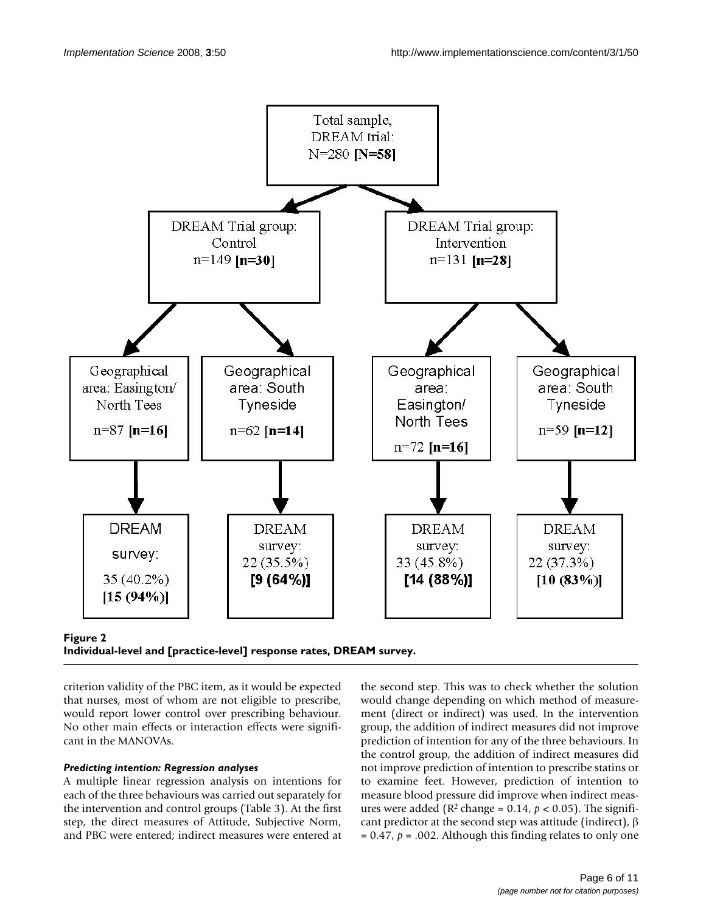

**Individual-level and [practice-level] response rates, DREAM survey.**

criterion validity of the PBC item, as it would be expected that nurses, most of whom are not eligible to prescribe, would report lower control over prescribing behaviour. No other main effects or interaction effects were significant in the MANOVAs.

### *Predicting intention: Regression analyses*

A multiple linear regression analysis on intentions for each of the three behaviours was carried out separately for the intervention and control groups (Table 3). At the first step, the direct measures of Attitude, Subjective Norm, and PBC were entered; indirect measures were entered at the second step. This was to check whether the solution would change depending on which method of measurement (direct or indirect) was used. In the intervention group, the addition of indirect measures did not improve prediction of intention for any of the three behaviours. In the control group, the addition of indirect measures did not improve prediction of intention to prescribe statins or to examine feet. However, prediction of intention to measure blood pressure did improve when indirect measures were added ( $\mathbb{R}^2$  change = 0.14,  $p < 0.05$ ). The significant predictor at the second step was attitude (indirect), β  $= 0.47$ ,  $p = .002$ . Although this finding relates to only one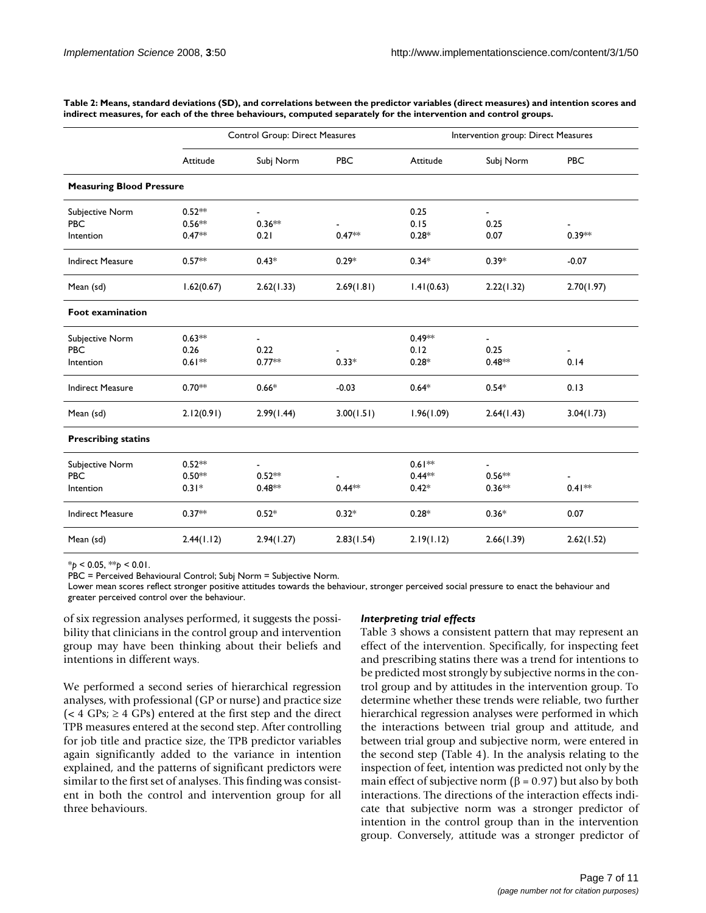|                                 | Control Group: Direct Measures |            |            | Intervention group: Direct Measures |                          |            |  |
|---------------------------------|--------------------------------|------------|------------|-------------------------------------|--------------------------|------------|--|
|                                 | Attitude                       | Subj Norm  | PBC        | Attitude                            | Subj Norm                | <b>PBC</b> |  |
| <b>Measuring Blood Pressure</b> |                                |            |            |                                     |                          |            |  |
| Subjective Norm                 | $0.52**$                       |            |            | 0.25                                | $\overline{\phantom{0}}$ |            |  |
| <b>PBC</b>                      | $0.56**$                       | $0.36**$   |            | 0.15                                | 0.25                     |            |  |
| Intention                       | $0.47**$                       | 0.21       | $0.47**$   | $0.28*$                             | 0.07                     | $0.39**$   |  |
| <b>Indirect Measure</b>         | $0.57**$                       | $0.43*$    | $0.29*$    | $0.34*$                             | $0.39*$                  | $-0.07$    |  |
| Mean (sd)                       | 1.62(0.67)                     | 2.62(1.33) | 2.69(1.81) | 1.41(0.63)                          | 2.22(1.32)               | 2.70(1.97) |  |
| <b>Foot examination</b>         |                                |            |            |                                     |                          |            |  |
| Subjective Norm                 | $0.63**$                       |            |            | $0.49**$                            |                          |            |  |
| <b>PBC</b>                      | 0.26                           | 0.22       |            | 0.12                                | 0.25                     |            |  |
| Intention                       | $0.61**$                       | $0.77**$   | $0.33*$    | $0.28*$                             | $0.48**$                 | 0.14       |  |
| <b>Indirect Measure</b>         | $0.70**$                       | $0.66*$    | $-0.03$    | $0.64*$                             | $0.54*$                  | 0.13       |  |
| Mean (sd)                       | 2.12(0.91)                     | 2.99(1.44) | 3.00(1.51) | 1.96(1.09)                          | 2.64(1.43)               | 3.04(1.73) |  |
| <b>Prescribing statins</b>      |                                |            |            |                                     |                          |            |  |
| Subjective Norm                 | $0.52**$                       |            |            | $0.61**$                            |                          |            |  |
| <b>PBC</b>                      | $0.50**$                       | $0.52**$   |            | $0.44**$                            | $0.56**$                 |            |  |
| Intention                       | $0.31*$                        | $0.48***$  | $0.44**$   | $0.42*$                             | $0.36**$                 | $0.41**$   |  |
| <b>Indirect Measure</b>         | $0.37**$                       | $0.52*$    | $0.32*$    | $0.28*$                             | $0.36*$                  | 0.07       |  |
| Mean (sd)                       | 2.44(1.12)                     | 2.94(1.27) | 2.83(1.54) | 2.19(1.12)                          | 2.66(1.39)               | 2.62(1.52) |  |

**Table 2: Means, standard deviations (SD), and correlations between the predictor variables (direct measures) and intention scores and indirect measures, for each of the three behaviours, computed separately for the intervention and control groups.**

 $*_{p}$  < 0.05,  $*_{p}$  < 0.01.

PBC = Perceived Behavioural Control; Subj Norm = Subjective Norm.

Lower mean scores reflect stronger positive attitudes towards the behaviour, stronger perceived social pressure to enact the behaviour and greater perceived control over the behaviour.

of six regression analyses performed, it suggests the possibility that clinicians in the control group and intervention group may have been thinking about their beliefs and intentions in different ways.

We performed a second series of hierarchical regression analyses, with professional (GP or nurse) and practice size  $(< 4 \text{ GPs}; \geq 4 \text{ GPs}$  entered at the first step and the direct TPB measures entered at the second step. After controlling for job title and practice size, the TPB predictor variables again significantly added to the variance in intention explained, and the patterns of significant predictors were similar to the first set of analyses. This finding was consistent in both the control and intervention group for all three behaviours.

#### *Interpreting trial effects*

Table 3 shows a consistent pattern that may represent an effect of the intervention. Specifically, for inspecting feet and prescribing statins there was a trend for intentions to be predicted most strongly by subjective norms in the control group and by attitudes in the intervention group. To determine whether these trends were reliable, two further hierarchical regression analyses were performed in which the interactions between trial group and attitude, and between trial group and subjective norm, were entered in the second step (Table 4). In the analysis relating to the inspection of feet, intention was predicted not only by the main effect of subjective norm ( $\beta$  = 0.97) but also by both interactions. The directions of the interaction effects indicate that subjective norm was a stronger predictor of intention in the control group than in the intervention group. Conversely, attitude was a stronger predictor of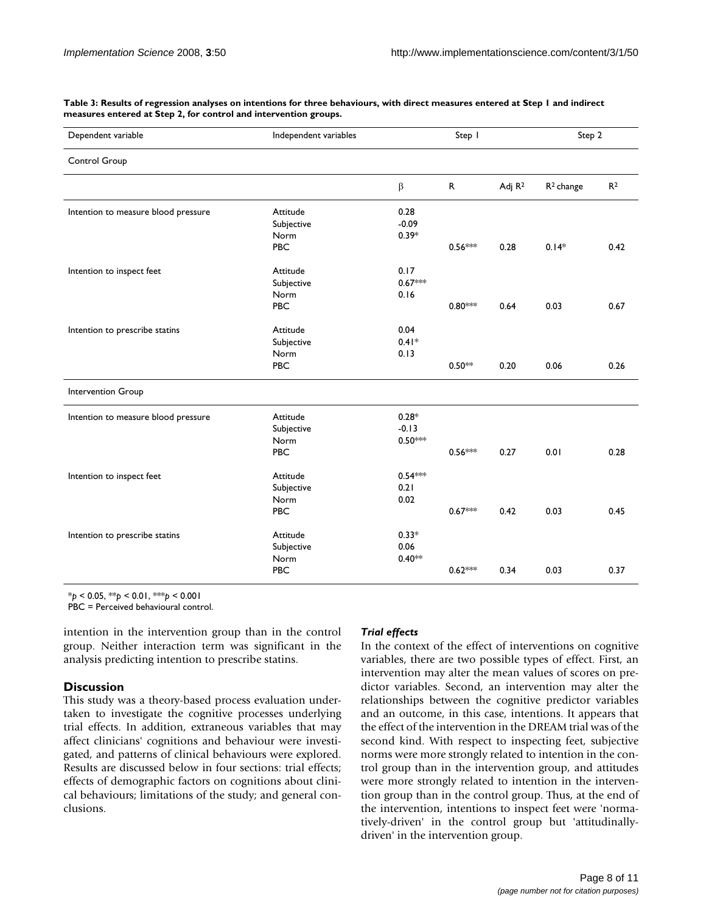| Dependent variable                  | Independent variables                        | Step I                          |           |           | Step 2      |                |  |
|-------------------------------------|----------------------------------------------|---------------------------------|-----------|-----------|-------------|----------------|--|
| Control Group                       |                                              |                                 |           |           |             |                |  |
|                                     |                                              | β                               | R         | Adj $R^2$ | $R2$ change | R <sup>2</sup> |  |
| Intention to measure blood pressure | Attitude<br>Subjective<br>Norm<br><b>PBC</b> | 0.28<br>$-0.09$<br>$0.39*$      | $0.56***$ | 0.28      | $0.14*$     | 0.42           |  |
| Intention to inspect feet           | Attitude<br>Subjective<br>Norm<br><b>PBC</b> | 0.17<br>$0.67***$<br>0.16       | $0.80***$ | 0.64      | 0.03        | 0.67           |  |
| Intention to prescribe statins      | Attitude<br>Subjective<br>Norm<br><b>PBC</b> | 0.04<br>$0.41*$<br>0.13         | $0.50**$  | 0.20      | 0.06        | 0.26           |  |
| Intervention Group                  |                                              |                                 |           |           |             |                |  |
| Intention to measure blood pressure | Attitude<br>Subjective<br>Norm<br><b>PBC</b> | $0.28*$<br>$-0.13$<br>$0.50***$ | $0.56***$ | 0.27      | 0.01        | 0.28           |  |
| Intention to inspect feet           | Attitude<br>Subjective<br>Norm<br><b>PBC</b> | $0.54***$<br>0.21<br>0.02       | $0.67***$ | 0.42      | 0.03        | 0.45           |  |
| Intention to prescribe statins      | Attitude<br>Subjective<br>Norm<br><b>PBC</b> | $0.33*$<br>0.06<br>$0.40**$     | $0.62***$ | 0.34      | 0.03        | 0.37           |  |

#### **Table 3: Results of regression analyses on intentions for three behaviours, with direct measures entered at Step 1 and indirect measures entered at Step 2, for control and intervention groups.**

\**p* < 0.05, \*\**p* < 0.01, \*\*\**p* < 0.001

PBC = Perceived behavioural control.

intention in the intervention group than in the control group. Neither interaction term was significant in the analysis predicting intention to prescribe statins.

### **Discussion**

This study was a theory-based process evaluation undertaken to investigate the cognitive processes underlying trial effects. In addition, extraneous variables that may affect clinicians' cognitions and behaviour were investigated, and patterns of clinical behaviours were explored. Results are discussed below in four sections: trial effects; effects of demographic factors on cognitions about clinical behaviours; limitations of the study; and general conclusions.

#### *Trial effects*

In the context of the effect of interventions on cognitive variables, there are two possible types of effect. First, an intervention may alter the mean values of scores on predictor variables. Second, an intervention may alter the relationships between the cognitive predictor variables and an outcome, in this case, intentions. It appears that the effect of the intervention in the DREAM trial was of the second kind. With respect to inspecting feet, subjective norms were more strongly related to intention in the control group than in the intervention group, and attitudes were more strongly related to intention in the intervention group than in the control group. Thus, at the end of the intervention, intentions to inspect feet were 'normatively-driven' in the control group but 'attitudinallydriven' in the intervention group.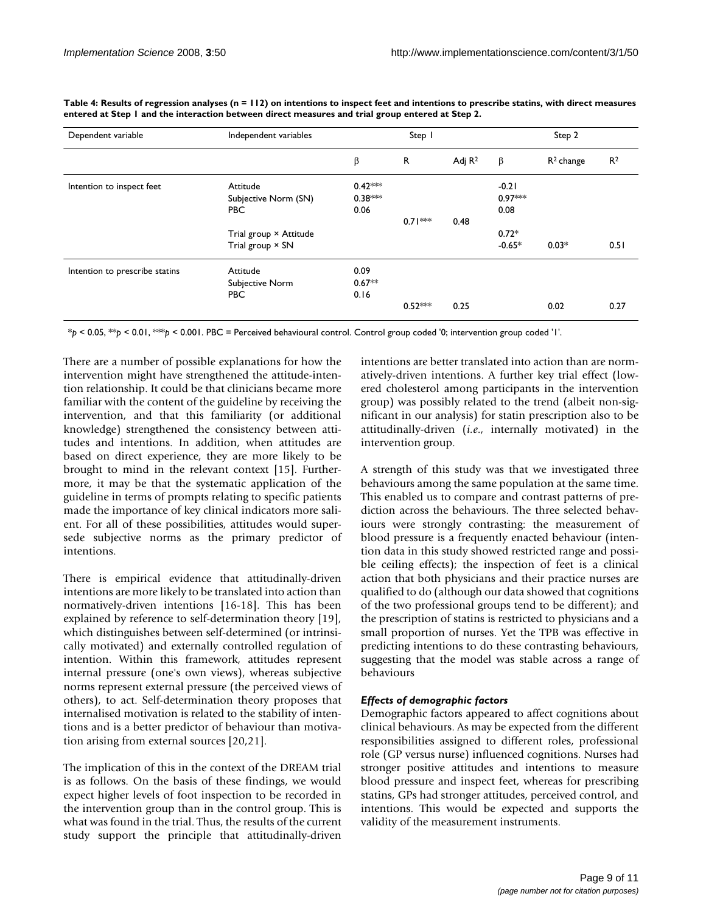| Dependent variable             | Independent variables   | Step I    |           |                    | Step 2    |             |                |
|--------------------------------|-------------------------|-----------|-----------|--------------------|-----------|-------------|----------------|
|                                |                         | β         | R         | Adj R <sup>2</sup> | $\beta$   | $R2$ change | R <sup>2</sup> |
| Intention to inspect feet      | Attitude                | $0.42***$ |           |                    | $-0.21$   |             |                |
|                                | Subjective Norm (SN)    | $0.38***$ |           |                    | $0.97***$ |             |                |
|                                | <b>PBC</b>              | 0.06      |           |                    | 0.08      |             |                |
|                                |                         |           | $0.71***$ | 0.48               |           |             |                |
|                                | Trial group × Attitude  |           |           |                    | $0.72*$   |             |                |
|                                | Trial group $\times$ SN |           |           |                    | $-0.65*$  | $0.03*$     | 0.51           |
| Intention to prescribe statins | Attitude                | 0.09      |           |                    |           |             |                |
|                                | Subjective Norm         | $0.67**$  |           |                    |           |             |                |
|                                | <b>PBC</b>              | 0.16      |           |                    |           |             |                |
|                                |                         |           | $0.52***$ | 0.25               |           | 0.02        | 0.27           |

**Table 4: Results of regression analyses (n = 112) on intentions to inspect feet and intentions to prescribe statins, with direct measures entered at Step 1 and the interaction between direct measures and trial group entered at Step 2.**

\**p* < 0.05, \*\**p* < 0.01, \*\*\**p* < 0.001. PBC = Perceived behavioural control. Control group coded '0; intervention group coded '1'.

There are a number of possible explanations for how the intervention might have strengthened the attitude-intention relationship. It could be that clinicians became more familiar with the content of the guideline by receiving the intervention, and that this familiarity (or additional knowledge) strengthened the consistency between attitudes and intentions. In addition, when attitudes are based on direct experience, they are more likely to be brought to mind in the relevant context [15]. Furthermore, it may be that the systematic application of the guideline in terms of prompts relating to specific patients made the importance of key clinical indicators more salient. For all of these possibilities, attitudes would supersede subjective norms as the primary predictor of intentions.

There is empirical evidence that attitudinally-driven intentions are more likely to be translated into action than normatively-driven intentions [16-18]. This has been explained by reference to self-determination theory [19], which distinguishes between self-determined (or intrinsically motivated) and externally controlled regulation of intention. Within this framework, attitudes represent internal pressure (one's own views), whereas subjective norms represent external pressure (the perceived views of others), to act. Self-determination theory proposes that internalised motivation is related to the stability of intentions and is a better predictor of behaviour than motivation arising from external sources [20,21].

The implication of this in the context of the DREAM trial is as follows. On the basis of these findings, we would expect higher levels of foot inspection to be recorded in the intervention group than in the control group. This is what was found in the trial. Thus, the results of the current study support the principle that attitudinally-driven

intentions are better translated into action than are normatively-driven intentions. A further key trial effect (lowered cholesterol among participants in the intervention group) was possibly related to the trend (albeit non-significant in our analysis) for statin prescription also to be attitudinally-driven (*i.e*., internally motivated) in the intervention group.

A strength of this study was that we investigated three behaviours among the same population at the same time. This enabled us to compare and contrast patterns of prediction across the behaviours. The three selected behaviours were strongly contrasting: the measurement of blood pressure is a frequently enacted behaviour (intention data in this study showed restricted range and possible ceiling effects); the inspection of feet is a clinical action that both physicians and their practice nurses are qualified to do (although our data showed that cognitions of the two professional groups tend to be different); and the prescription of statins is restricted to physicians and a small proportion of nurses. Yet the TPB was effective in predicting intentions to do these contrasting behaviours, suggesting that the model was stable across a range of behaviours

#### *Effects of demographic factors*

Demographic factors appeared to affect cognitions about clinical behaviours. As may be expected from the different responsibilities assigned to different roles, professional role (GP versus nurse) influenced cognitions. Nurses had stronger positive attitudes and intentions to measure blood pressure and inspect feet, whereas for prescribing statins, GPs had stronger attitudes, perceived control, and intentions. This would be expected and supports the validity of the measurement instruments.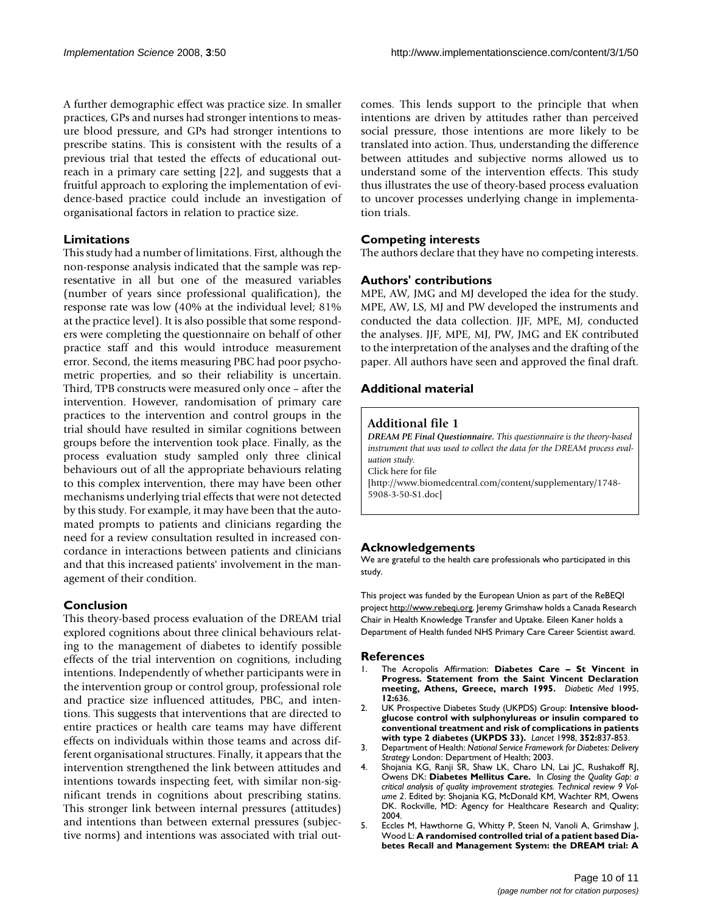A further demographic effect was practice size. In smaller practices, GPs and nurses had stronger intentions to measure blood pressure, and GPs had stronger intentions to prescribe statins. This is consistent with the results of a previous trial that tested the effects of educational outreach in a primary care setting [22], and suggests that a fruitful approach to exploring the implementation of evidence-based practice could include an investigation of organisational factors in relation to practice size.

#### **Limitations**

This study had a number of limitations. First, although the non-response analysis indicated that the sample was representative in all but one of the measured variables (number of years since professional qualification), the response rate was low (40% at the individual level; 81% at the practice level). It is also possible that some responders were completing the questionnaire on behalf of other practice staff and this would introduce measurement error. Second, the items measuring PBC had poor psychometric properties, and so their reliability is uncertain. Third, TPB constructs were measured only once – after the intervention. However, randomisation of primary care practices to the intervention and control groups in the trial should have resulted in similar cognitions between groups before the intervention took place. Finally, as the process evaluation study sampled only three clinical behaviours out of all the appropriate behaviours relating to this complex intervention, there may have been other mechanisms underlying trial effects that were not detected by this study. For example, it may have been that the automated prompts to patients and clinicians regarding the need for a review consultation resulted in increased concordance in interactions between patients and clinicians and that this increased patients' involvement in the management of their condition.

### **Conclusion**

This theory-based process evaluation of the DREAM trial explored cognitions about three clinical behaviours relating to the management of diabetes to identify possible effects of the trial intervention on cognitions, including intentions. Independently of whether participants were in the intervention group or control group, professional role and practice size influenced attitudes, PBC, and intentions. This suggests that interventions that are directed to entire practices or health care teams may have different effects on individuals within those teams and across different organisational structures. Finally, it appears that the intervention strengthened the link between attitudes and intentions towards inspecting feet, with similar non-significant trends in cognitions about prescribing statins. This stronger link between internal pressures (attitudes) and intentions than between external pressures (subjective norms) and intentions was associated with trial outcomes. This lends support to the principle that when intentions are driven by attitudes rather than perceived social pressure, those intentions are more likely to be translated into action. Thus, understanding the difference between attitudes and subjective norms allowed us to understand some of the intervention effects. This study thus illustrates the use of theory-based process evaluation to uncover processes underlying change in implementation trials.

#### **Competing interests**

The authors declare that they have no competing interests.

#### **Authors' contributions**

MPE, AW, JMG and MJ developed the idea for the study. MPE, AW, LS, MJ and PW developed the instruments and conducted the data collection. JJF, MPE, MJ, conducted the analyses. JJF, MPE, MJ, PW, JMG and EK contributed to the interpretation of the analyses and the drafting of the paper. All authors have seen and approved the final draft.

### **Additional material**

### **Additional file 1**

*DREAM PE Final Questionnaire. This questionnaire is the theory-based instrument that was used to collect the data for the DREAM process evaluation study.* Click here for file

[\[http://www.biomedcentral.com/content/supplementary/1748-](http://www.biomedcentral.com/content/supplementary/1748-5908-3-50-S1.doc) 5908-3-50-S1.doc]

#### **Acknowledgements**

We are grateful to the health care professionals who participated in this study.

This project was funded by the European Union as part of the ReBEQI project http://www.rebegi.org. Jeremy Grimshaw holds a Canada Research Chair in Health Knowledge Transfer and Uptake. Eileen Kaner holds a Department of Health funded NHS Primary Care Career Scientist award.

#### **References**

- 1. The Acropolis Affirmation: **[Diabetes Care St Vincent in](http://www.ncbi.nlm.nih.gov/entrez/query.fcgi?cmd=Retrieve&db=PubMed&dopt=Abstract&list_uids=7554789) [Progress. Statement from the Saint Vincent Declaration](http://www.ncbi.nlm.nih.gov/entrez/query.fcgi?cmd=Retrieve&db=PubMed&dopt=Abstract&list_uids=7554789) [meeting, Athens, Greece, march 1995.](http://www.ncbi.nlm.nih.gov/entrez/query.fcgi?cmd=Retrieve&db=PubMed&dopt=Abstract&list_uids=7554789)** *Diabetic Med* 1995, **12:**636.
- 2. UK Prospective Diabetes Study (UKPDS) Group: **[Intensive blood](http://www.ncbi.nlm.nih.gov/entrez/query.fcgi?cmd=Retrieve&db=PubMed&dopt=Abstract&list_uids=9742976)[glucose control with sulphonylureas or insulin compared to](http://www.ncbi.nlm.nih.gov/entrez/query.fcgi?cmd=Retrieve&db=PubMed&dopt=Abstract&list_uids=9742976) conventional treatment and risk of complications in patients [with type 2 diabetes \(UKPDS 33\).](http://www.ncbi.nlm.nih.gov/entrez/query.fcgi?cmd=Retrieve&db=PubMed&dopt=Abstract&list_uids=9742976)** *Lancet* 1998, **352:**837-853.
- 3. Department of Health: *National Service Framework for Diabetes: Delivery Strategy* London: Department of Health; 2003.
- 4. Shojania KG, Ranji SR, Shaw LK, Charo LN, Lai JC, Rushakoff RJ, Owens DK: **Diabetes Mellitus Care.** In *Closing the Quality Gap: a critical analysis of quality improvement strategies. Technical review 9 Volume 2*. Edited by: Shojania KG, McDonald KM, Wachter RM, Owens DK. Rockville, MD: Agency for Healthcare Research and Quality; 2004.
- 5. Eccles M, Hawthorne G, Whitty P, Steen N, Vanoli A, Grimshaw J, Wood L: **[A randomised controlled trial of a patient based Dia](http://www.ncbi.nlm.nih.gov/entrez/query.fcgi?cmd=Retrieve&db=PubMed&dopt=Abstract&list_uids=11914161)[betes Recall and Management System: the DREAM trial: A](http://www.ncbi.nlm.nih.gov/entrez/query.fcgi?cmd=Retrieve&db=PubMed&dopt=Abstract&list_uids=11914161)**